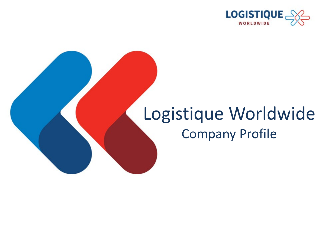

# Logistique Worldwide Company Profile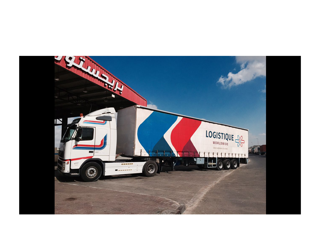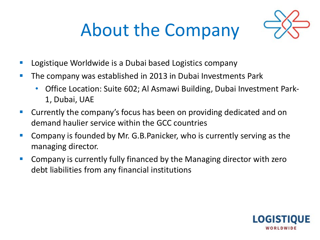# About the Company



- **Logistique Worldwide is a Dubai based Logistics company**
- **The company was established in 2013 in Dubai Investments Park** 
	- Office Location: Suite 602; Al Asmawi Building, Dubai Investment Park-1, Dubai, UAE
- **E** Currently the company's focus has been on providing dedicated and on demand haulier service within the GCC countries
- **Company is founded by Mr. G.B.Panicker, who is currently serving as the** managing director.
- **E** Company is currently fully financed by the Managing director with zero debt liabilities from any financial institutions

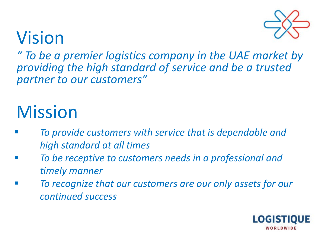# Vision

*" To be a premier logistics company in the UAE market by providing the high standard of service and be a trusted partner to our customers"*

### Mission

- *To provide customers with service that is dependable and high standard at all times*
- *To be receptive to customers needs in a professional and timely manner*
- *To recognize that our customers are our only assets for our continued success*

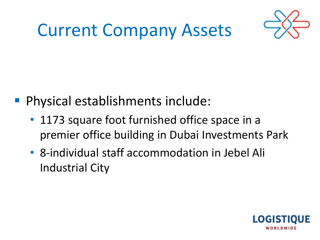

#### Current Company Assets

- **Physical establishments include:** 
	- 1173 square foot furnished office space in a premier office building in Dubai Investments Park
	- 8-individual staff accommodation in Jebel Ali Industrial City

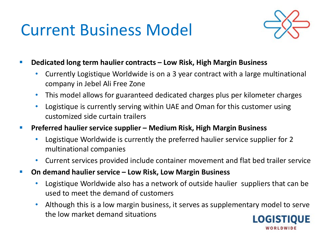#### Current Business Model



- **Dedicated long term haulier contracts – Low Risk, High Margin Business**
	- Currently Logistique Worldwide is on a 3 year contract with a large multinational company in Jebel Ali Free Zone
	- This model allows for guaranteed dedicated charges plus per kilometer charges
	- Logistique is currently serving within UAE and Oman for this customer using customized side curtain trailers
- **Preferred haulier service supplier – Medium Risk, High Margin Business**
	- Logistique Worldwide is currently the preferred haulier service supplier for 2 multinational companies
	- Current services provided include container movement and flat bed trailer service
- **On demand haulier service – Low Risk, Low Margin Business**
	- Logistique Worldwide also has a network of outside haulier suppliers that can be used to meet the demand of customers
	- Although this is a low margin business, it serves as supplementary model to serve the low market demand situations